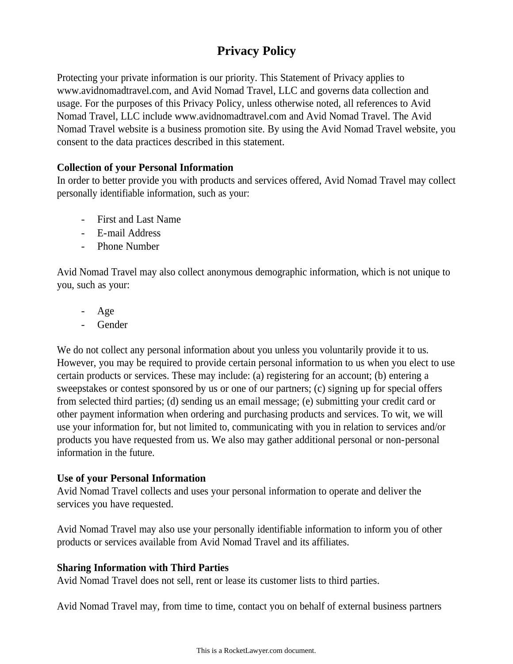# **Privacy Policy**

Protecting your private information is our priority. This Statement of Privacy applies to www.avidnomadtravel.com, and Avid Nomad Travel, LLC and governs data collection and usage. For the purposes of this Privacy Policy, unless otherwise noted, all references to Avid Nomad Travel, LLC include www.avidnomadtravel.com and Avid Nomad Travel. The Avid Nomad Travel website is a business promotion site. By using the Avid Nomad Travel website, you consent to the data practices described in this statement.

## **Collection of your Personal Information**

In order to better provide you with products and services offered, Avid Nomad Travel may collect personally identifiable information, such as your:

- First and Last Name
- E-mail Address
- Phone Number

Avid Nomad Travel may also collect anonymous demographic information, which is not unique to you, such as your:

- Age
- Gender

We do not collect any personal information about you unless you voluntarily provide it to us. However, you may be required to provide certain personal information to us when you elect to use certain products or services. These may include: (a) registering for an account; (b) entering a sweepstakes or contest sponsored by us or one of our partners; (c) signing up for special offers from selected third parties; (d) sending us an email message; (e) submitting your credit card or other payment information when ordering and purchasing products and services. To wit, we will use your information for, but not limited to, communicating with you in relation to services and/or products you have requested from us. We also may gather additional personal or non-personal information in the future.

## **Use of your Personal Information**

Avid Nomad Travel collects and uses your personal information to operate and deliver the services you have requested.

Avid Nomad Travel may also use your personally identifiable information to inform you of other products or services available from Avid Nomad Travel and its affiliates.

## **Sharing Information with Third Parties**

Avid Nomad Travel does not sell, rent or lease its customer lists to third parties.

Avid Nomad Travel may, from time to time, contact you on behalf of external business partners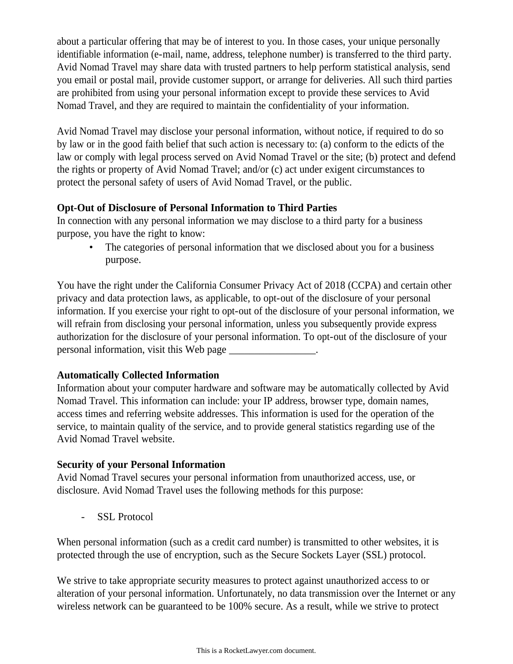about a particular offering that may be of interest to you. In those cases, your unique personally identifiable information (e-mail, name, address, telephone number) is transferred to the third party. Avid Nomad Travel may share data with trusted partners to help perform statistical analysis, send you email or postal mail, provide customer support, or arrange for deliveries. All such third parties are prohibited from using your personal information except to provide these services to Avid Nomad Travel, and they are required to maintain the confidentiality of your information.

Avid Nomad Travel may disclose your personal information, without notice, if required to do so by law or in the good faith belief that such action is necessary to: (a) conform to the edicts of the law or comply with legal process served on Avid Nomad Travel or the site; (b) protect and defend the rights or property of Avid Nomad Travel; and/or (c) act under exigent circumstances to protect the personal safety of users of Avid Nomad Travel, or the public.

## **Opt-Out of Disclosure of Personal Information to Third Parties**

In connection with any personal information we may disclose to a third party for a business purpose, you have the right to know:

The categories of personal information that we disclosed about you for a business purpose.

You have the right under the California Consumer Privacy Act of 2018 (CCPA) and certain other privacy and data protection laws, as applicable, to opt-out of the disclosure of your personal information. If you exercise your right to opt-out of the disclosure of your personal information, we will refrain from disclosing your personal information, unless you subsequently provide express authorization for the disclosure of your personal information. To opt-out of the disclosure of your personal information, visit this Web page \_\_\_\_\_\_\_\_\_\_\_\_\_\_\_\_\_.

## **Automatically Collected Information**

Information about your computer hardware and software may be automatically collected by Avid Nomad Travel. This information can include: your IP address, browser type, domain names, access times and referring website addresses. This information is used for the operation of the service, to maintain quality of the service, and to provide general statistics regarding use of the Avid Nomad Travel website.

## **Security of your Personal Information**

Avid Nomad Travel secures your personal information from unauthorized access, use, or disclosure. Avid Nomad Travel uses the following methods for this purpose:

- SSL Protocol

When personal information (such as a credit card number) is transmitted to other websites, it is protected through the use of encryption, such as the Secure Sockets Layer (SSL) protocol.

We strive to take appropriate security measures to protect against unauthorized access to or alteration of your personal information. Unfortunately, no data transmission over the Internet or any wireless network can be guaranteed to be 100% secure. As a result, while we strive to protect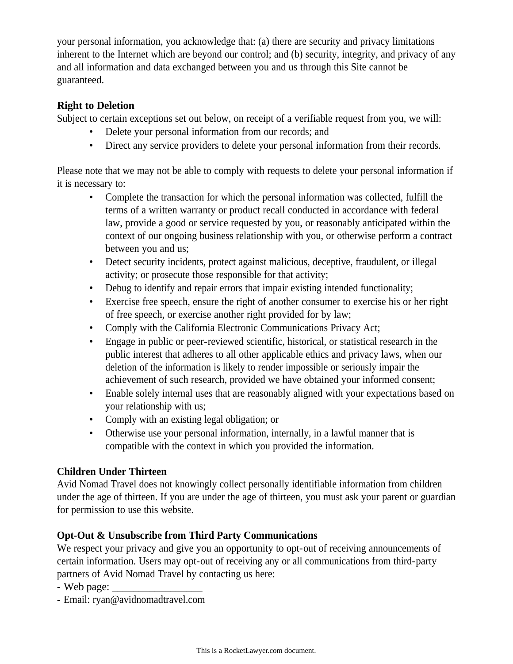your personal information, you acknowledge that: (a) there are security and privacy limitations inherent to the Internet which are beyond our control; and (b) security, integrity, and privacy of any and all information and data exchanged between you and us through this Site cannot be guaranteed.

## **Right to Deletion**

Subject to certain exceptions set out below, on receipt of a verifiable request from you, we will:

- Delete your personal information from our records; and
- Direct any service providers to delete your personal information from their records.

Please note that we may not be able to comply with requests to delete your personal information if it is necessary to:

- Complete the transaction for which the personal information was collected, fulfill the terms of a written warranty or product recall conducted in accordance with federal law, provide a good or service requested by you, or reasonably anticipated within the context of our ongoing business relationship with you, or otherwise perform a contract between you and us;
- Detect security incidents, protect against malicious, deceptive, fraudulent, or illegal activity; or prosecute those responsible for that activity;
- Debug to identify and repair errors that impair existing intended functionality;
- Exercise free speech, ensure the right of another consumer to exercise his or her right of free speech, or exercise another right provided for by law;
- Comply with the California Electronic Communications Privacy Act;
- Engage in public or peer-reviewed scientific, historical, or statistical research in the public interest that adheres to all other applicable ethics and privacy laws, when our deletion of the information is likely to render impossible or seriously impair the achievement of such research, provided we have obtained your informed consent;
- Enable solely internal uses that are reasonably aligned with your expectations based on your relationship with us;
- Comply with an existing legal obligation; or
- Otherwise use your personal information, internally, in a lawful manner that is compatible with the context in which you provided the information.

## **Children Under Thirteen**

Avid Nomad Travel does not knowingly collect personally identifiable information from children under the age of thirteen. If you are under the age of thirteen, you must ask your parent or guardian for permission to use this website.

## **Opt-Out & Unsubscribe from Third Party Communications**

We respect your privacy and give you an opportunity to opt-out of receiving announcements of certain information. Users may opt-out of receiving any or all communications from third-party partners of Avid Nomad Travel by contacting us here:

- Web page: \_\_\_\_\_\_\_\_\_\_\_\_\_\_\_\_\_
- Email: ryan@avidnomadtravel.com